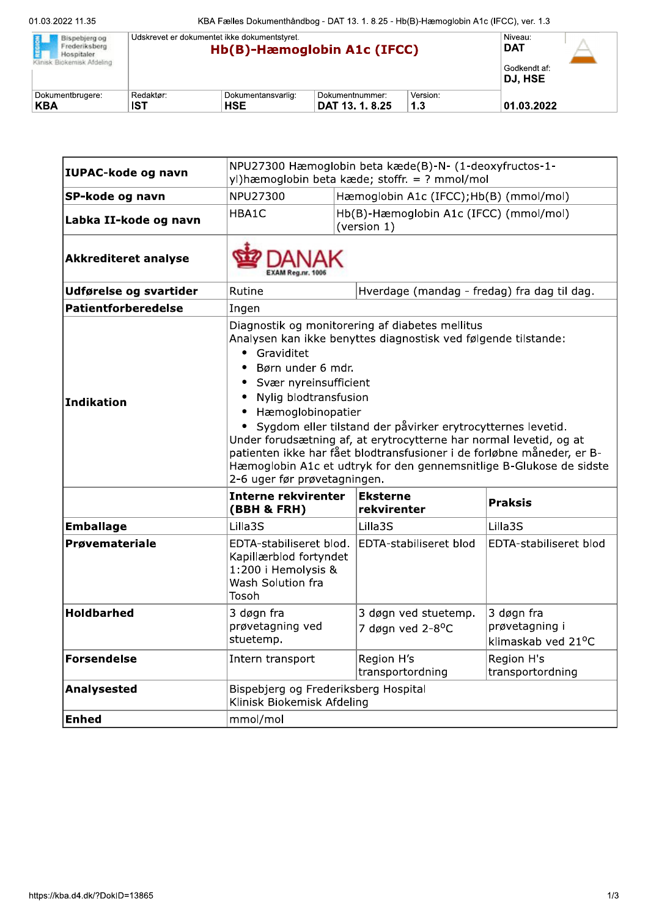| Bispebierg og<br>Frederiksberg<br>Hospitaler. | Udskrevet er dokumentet ikke dokumentstyret.<br>Hb(B)-Hæmoglobin A1c (IFCC) |                                  |                                    | Niveau:<br><b>DAT</b> |                                |  |
|-----------------------------------------------|-----------------------------------------------------------------------------|----------------------------------|------------------------------------|-----------------------|--------------------------------|--|
| Klinisk Biokemisk Afdeling                    |                                                                             |                                  |                                    |                       | Godkendt af:<br><b>DJ. HSE</b> |  |
| Dokumentbrugere:<br>KBA                       | Redaktør:<br><b>IST</b>                                                     | Dokumentansvarlig:<br><b>HSE</b> | Dokumentnummer:<br>DAT 13. 1. 8.25 | Version:<br>1.3       | 01.03.2022                     |  |

| IUPAC-kode og navn          | NPU27300 Hæmoglobin beta kæde(B)-N- (1-deoxyfructos-1-<br>yl) hæmoglobin beta kæde; stoffr. = ? mmol/mol                                                                                                                                                                                                                                                                                                                                                                                                                                                                    |                                                       |                                                    |  |
|-----------------------------|-----------------------------------------------------------------------------------------------------------------------------------------------------------------------------------------------------------------------------------------------------------------------------------------------------------------------------------------------------------------------------------------------------------------------------------------------------------------------------------------------------------------------------------------------------------------------------|-------------------------------------------------------|----------------------------------------------------|--|
| SP-kode og navn             | NPU27300<br>Hæmoglobin A1c (IFCC);Hb(B) (mmol/mol)                                                                                                                                                                                                                                                                                                                                                                                                                                                                                                                          |                                                       |                                                    |  |
| Labka II-kode og navn       | HBA1C<br>Hb(B)-Hæmoglobin A1c (IFCC) (mmol/mol)<br>(version 1)                                                                                                                                                                                                                                                                                                                                                                                                                                                                                                              |                                                       |                                                    |  |
| <b>Akkrediteret analyse</b> |                                                                                                                                                                                                                                                                                                                                                                                                                                                                                                                                                                             |                                                       |                                                    |  |
| Udførelse og svartider      | Rutine<br>Hverdage (mandag - fredag) fra dag til dag.                                                                                                                                                                                                                                                                                                                                                                                                                                                                                                                       |                                                       |                                                    |  |
| <b>Patientforberedelse</b>  | Ingen                                                                                                                                                                                                                                                                                                                                                                                                                                                                                                                                                                       |                                                       |                                                    |  |
| Indikation                  | Diagnostik og monitorering af diabetes mellitus<br>Analysen kan ikke benyttes diagnostisk ved følgende tilstande:<br>Graviditet<br>$\bullet$<br>Børn under 6 mdr.<br>Svær nyreinsufficient<br>Nylig blodtransfusion<br>Hæmoglobinopatier<br>$\bullet$<br>Sygdom eller tilstand der påvirker erytrocytternes levetid.<br>Under forudsætning af, at erytrocytterne har normal levetid, og at<br>patienten ikke har fået blodtransfusioner i de forløbne måneder, er B-<br>Hæmoglobin A1c et udtryk for den gennemsnitlige B-Glukose de sidste<br>2-6 uger før prøvetagningen. |                                                       |                                                    |  |
|                             | <b>Interne rekvirenter</b><br>(BBH & FRH)                                                                                                                                                                                                                                                                                                                                                                                                                                                                                                                                   | <b>Eksterne</b><br>rekvirenter                        | <b>Praksis</b>                                     |  |
| <b>Emballage</b>            | Lilla3S                                                                                                                                                                                                                                                                                                                                                                                                                                                                                                                                                                     | Lilla3S                                               | Lilla3S                                            |  |
| Prøvemateriale              | EDTA-stabiliseret blod.<br>Kapillærblod fortyndet<br>1:200 i Hemolysis &<br>Wash Solution fra<br>Tosoh                                                                                                                                                                                                                                                                                                                                                                                                                                                                      | EDTA-stabiliseret blod                                | <b>EDTA-stabiliseret blod</b>                      |  |
| <b>Holdbarhed</b>           | 3 døgn fra<br>prøvetagning ved<br>stuetemp.                                                                                                                                                                                                                                                                                                                                                                                                                                                                                                                                 | 3 døgn ved stuetemp.<br>7 døgn ved 2-8 <sup>o</sup> C | 3 døgn fra<br>prøvetagning i<br>klimaskab ved 21°C |  |
| Forsendelse                 | Intern transport                                                                                                                                                                                                                                                                                                                                                                                                                                                                                                                                                            | Region H's<br>transportordning                        | Region H's<br>transportordning                     |  |
| Analysested                 | Bispebjerg og Frederiksberg Hospital<br>Klinisk Biokemisk Afdeling                                                                                                                                                                                                                                                                                                                                                                                                                                                                                                          |                                                       |                                                    |  |
| <b>Enhed</b>                | mmol/mol                                                                                                                                                                                                                                                                                                                                                                                                                                                                                                                                                                    |                                                       |                                                    |  |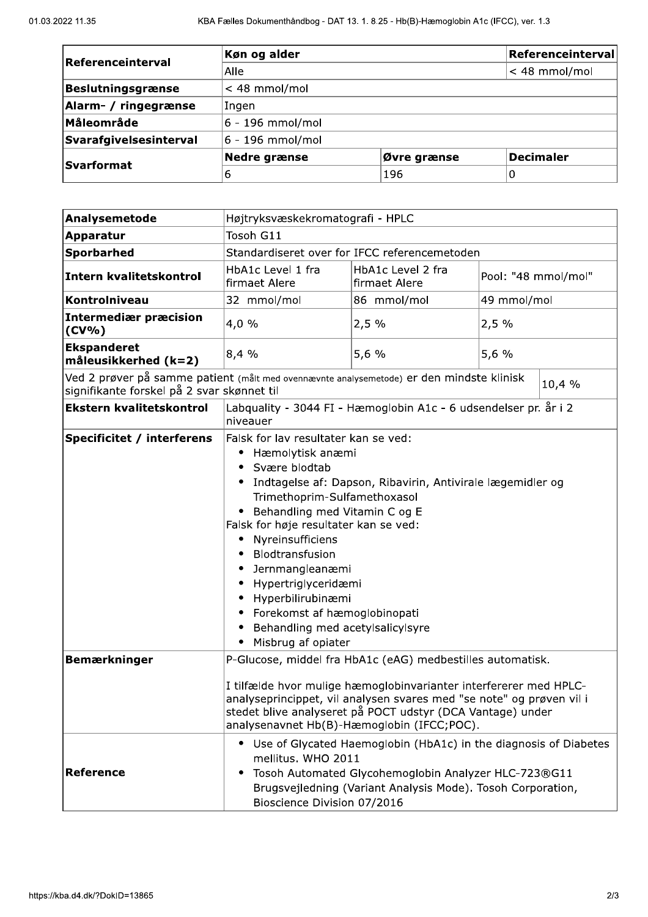| Referenceinterval      | Køn og alder     | Referenceinterval |                  |
|------------------------|------------------|-------------------|------------------|
|                        | Alle             |                   | $<$ 48 mmol/mol  |
| Beslutningsgrænse      | $<$ 48 mmol/mol  |                   |                  |
| Alarm- / ringegrænse   | Ingen            |                   |                  |
| <b>Måleområde</b>      | 6 - 196 mmol/mol |                   |                  |
| Svarafgivelsesinterval | 6 - 196 mmol/mol |                   |                  |
| <b>Svarformat</b>      | Nedre grænse     | Øvre grænse       | <b>Decimaler</b> |
|                        | 6                | 196               | O                |

| Analysemetode                                                                                                                                    | Højtryksvæskekromatografi - HPLC                                                                                                                                                                                                                                                                                                                                                                                                                                      |                                    |                     |  |
|--------------------------------------------------------------------------------------------------------------------------------------------------|-----------------------------------------------------------------------------------------------------------------------------------------------------------------------------------------------------------------------------------------------------------------------------------------------------------------------------------------------------------------------------------------------------------------------------------------------------------------------|------------------------------------|---------------------|--|
| <b>Apparatur</b>                                                                                                                                 | Tosoh G11                                                                                                                                                                                                                                                                                                                                                                                                                                                             |                                    |                     |  |
| Sporbarhed                                                                                                                                       | Standardiseret over for IFCC referencemetoden                                                                                                                                                                                                                                                                                                                                                                                                                         |                                    |                     |  |
| Intern kvalitetskontrol                                                                                                                          | HbA1c Level 1 fra<br>firmaet Alere                                                                                                                                                                                                                                                                                                                                                                                                                                    | HbA1c Level 2 fra<br>firmaet Alere | Pool: "48 mmol/mol" |  |
| Kontrolniveau                                                                                                                                    | 32 mmol/mol                                                                                                                                                                                                                                                                                                                                                                                                                                                           | 86 mmol/mol                        | 49 mmol/mol         |  |
| <b>Intermediær præcision</b><br>$(CV\% )$                                                                                                        | 4,0%                                                                                                                                                                                                                                                                                                                                                                                                                                                                  | 2,5%                               | 2,5%                |  |
| <b>Ekspanderet</b><br>måleusikkerhed (k=2)                                                                                                       | 8,4%                                                                                                                                                                                                                                                                                                                                                                                                                                                                  | 5,6 %                              | 5,6 %               |  |
| Ved 2 prøver på samme patient (målt med ovennævnte analysemetode) er den mindste klinisk<br>10,4 %<br>signifikante forskel på 2 svar skønnet til |                                                                                                                                                                                                                                                                                                                                                                                                                                                                       |                                    |                     |  |
| <b>Ekstern kvalitetskontrol</b>                                                                                                                  | Labquality - 3044 FI - Hæmoglobin A1c - 6 udsendelser pr. år i 2<br>niveauer                                                                                                                                                                                                                                                                                                                                                                                          |                                    |                     |  |
| <b>Specificitet / interferens</b>                                                                                                                | Falsk for lav resultater kan se ved:<br>Hæmolytisk anæmi<br>Svære blodtab<br>Indtagelse af: Dapson, Ribavirin, Antivirale lægemidler og<br>٠<br>Trimethoprim-Sulfamethoxasol<br>Behandling med Vitamin C og E<br>Falsk for høje resultater kan se ved:<br>Nyreinsufficiens<br>٠<br>Blodtransfusion<br>Jernmangleanæmi<br>Hypertriglyceridæmi<br>Hyperbilirubinæmi<br>Forekomst af hæmoglobinopati<br>٠<br>Behandling med acetylsalicylsyre<br>Misbrug af opiater<br>٠ |                                    |                     |  |
| <b>Bemærkninger</b>                                                                                                                              | P-Glucose, middel fra HbA1c (eAG) medbestilles automatisk.<br>I tilfælde hvor mulige hæmoglobinvarianter interfererer med HPLC-<br>analyseprincippet, vil analysen svares med "se note" og prøven vil i<br>stedet blive analyseret på POCT udstyr (DCA Vantage) under<br>analysenavnet Hb(B)-Hæmoglobin (IFCC;POC).                                                                                                                                                   |                                    |                     |  |
| <b>Reference</b>                                                                                                                                 | • Use of Glycated Haemoglobin (HbA1c) in the diagnosis of Diabetes<br>mellitus. WHO 2011<br>Tosoh Automated Glycohemoglobin Analyzer HLC-723®G11<br>Brugsvejledning (Variant Analysis Mode). Tosoh Corporation,<br>Bioscience Division 07/2016                                                                                                                                                                                                                        |                                    |                     |  |